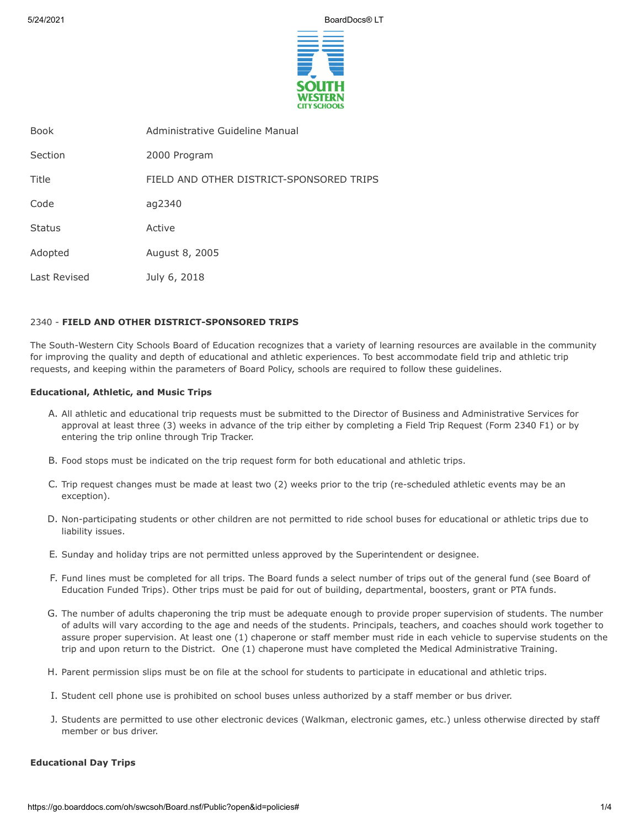5/24/2021 BoardDocs® LT



| <b>Book</b>   | Administrative Guideline Manual          |
|---------------|------------------------------------------|
| Section       | 2000 Program                             |
| Title         | FIELD AND OTHER DISTRICT-SPONSORED TRIPS |
| Code          | ag2340                                   |
| <b>Status</b> | Active                                   |
| Adopted       | August 8, 2005                           |
| Last Revised  | July 6, 2018                             |

# 2340 - **FIELD AND OTHER DISTRICT-SPONSORED TRIPS**

The South-Western City Schools Board of Education recognizes that a variety of learning resources are available in the community for improving the quality and depth of educational and athletic experiences. To best accommodate field trip and athletic trip requests, and keeping within the parameters of Board Policy, schools are required to follow these guidelines.

## **Educational, Athletic, and Music Trips**

- A. All athletic and educational trip requests must be submitted to the Director of Business and Administrative Services for approval at least three (3) weeks in advance of the trip either by completing a Field Trip Request (Form 2340 F1) or by entering the trip online through Trip Tracker.
- B. Food stops must be indicated on the trip request form for both educational and athletic trips.
- C. Trip request changes must be made at least two (2) weeks prior to the trip (re-scheduled athletic events may be an exception).
- D. Non-participating students or other children are not permitted to ride school buses for educational or athletic trips due to liability issues.
- E. Sunday and holiday trips are not permitted unless approved by the Superintendent or designee.
- F. Fund lines must be completed for all trips. The Board funds a select number of trips out of the general fund (see Board of Education Funded Trips). Other trips must be paid for out of building, departmental, boosters, grant or PTA funds.
- G. The number of adults chaperoning the trip must be adequate enough to provide proper supervision of students. The number of adults will vary according to the age and needs of the students. Principals, teachers, and coaches should work together to assure proper supervision. At least one (1) chaperone or staff member must ride in each vehicle to supervise students on the trip and upon return to the District. One (1) chaperone must have completed the Medical Administrative Training.
- H. Parent permission slips must be on file at the school for students to participate in educational and athletic trips.
- I. Student cell phone use is prohibited on school buses unless authorized by a staff member or bus driver.
- J. Students are permitted to use other electronic devices (Walkman, electronic games, etc.) unless otherwise directed by staff member or bus driver.

### **Educational Day Trips**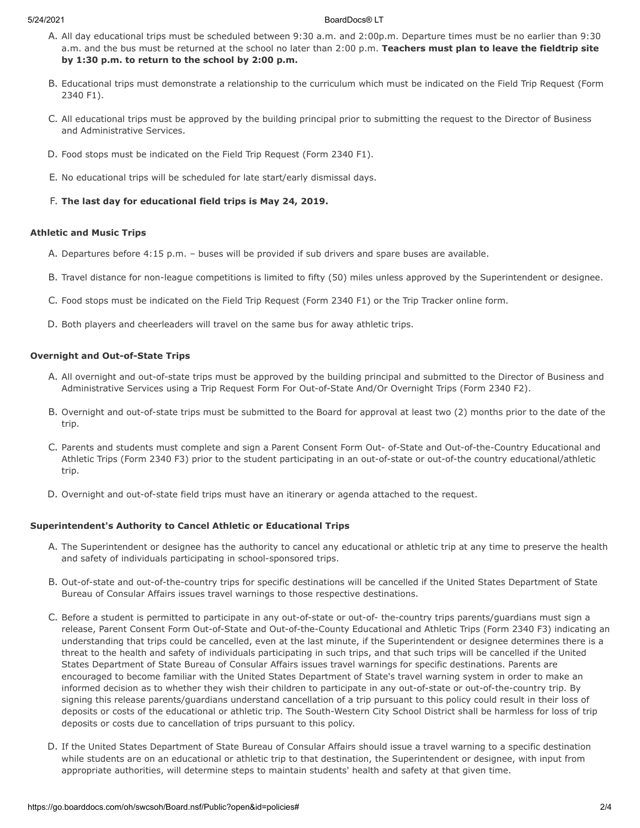#### 5/24/2021 BoardDocs® LT

- A. All day educational trips must be scheduled between 9:30 a.m. and 2:00p.m. Departure times must be no earlier than 9:30 a.m. and the bus must be returned at the school no later than 2:00 p.m. **Teachers must plan to leave the fieldtrip site by 1:30 p.m. to return to the school by 2:00 p.m.**
- B. Educational trips must demonstrate a relationship to the curriculum which must be indicated on the Field Trip Request (Form 2340 F1).
- C. All educational trips must be approved by the building principal prior to submitting the request to the Director of Business and Administrative Services.
- D. Food stops must be indicated on the Field Trip Request (Form 2340 F1).
- E. No educational trips will be scheduled for late start/early dismissal days.
- F. **The last day for educational field trips is May 24, 2019.**

## **Athletic and Music Trips**

- A. Departures before 4:15 p.m. buses will be provided if sub drivers and spare buses are available.
- B. Travel distance for non-league competitions is limited to fifty (50) miles unless approved by the Superintendent or designee.
- C. Food stops must be indicated on the Field Trip Request (Form 2340 F1) or the Trip Tracker online form.
- D. Both players and cheerleaders will travel on the same bus for away athletic trips.

## **Overnight and Out-of-State Trips**

- A. All overnight and out-of-state trips must be approved by the building principal and submitted to the Director of Business and Administrative Services using a Trip Request Form For Out-of-State And/Or Overnight Trips (Form 2340 F2).
- B. Overnight and out-of-state trips must be submitted to the Board for approval at least two (2) months prior to the date of the trip.
- C. Parents and students must complete and sign a Parent Consent Form Out- of-State and Out-of-the-Country Educational and Athletic Trips (Form 2340 F3) prior to the student participating in an out-of-state or out-of-the country educational/athletic trip.
- D. Overnight and out-of-state field trips must have an itinerary or agenda attached to the request.

## **Superintendent's Authority to Cancel Athletic or Educational Trips**

- A. The Superintendent or designee has the authority to cancel any educational or athletic trip at any time to preserve the health and safety of individuals participating in school-sponsored trips.
- B. Out-of-state and out-of-the-country trips for specific destinations will be cancelled if the United States Department of State Bureau of Consular Affairs issues travel warnings to those respective destinations.
- C. Before a student is permitted to participate in any out-of-state or out-of- the-country trips parents/guardians must sign a release, Parent Consent Form Out-of-State and Out-of-the-County Educational and Athletic Trips (Form 2340 F3) indicating an understanding that trips could be cancelled, even at the last minute, if the Superintendent or designee determines there is a threat to the health and safety of individuals participating in such trips, and that such trips will be cancelled if the United States Department of State Bureau of Consular Affairs issues travel warnings for specific destinations. Parents are encouraged to become familiar with the United States Department of State's travel warning system in order to make an informed decision as to whether they wish their children to participate in any out-of-state or out-of-the-country trip. By signing this release parents/guardians understand cancellation of a trip pursuant to this policy could result in their loss of deposits or costs of the educational or athletic trip. The South-Western City School District shall be harmless for loss of trip deposits or costs due to cancellation of trips pursuant to this policy.
- D. If the United States Department of State Bureau of Consular Affairs should issue a travel warning to a specific destination while students are on an educational or athletic trip to that destination, the Superintendent or designee, with input from appropriate authorities, will determine steps to maintain students' health and safety at that given time.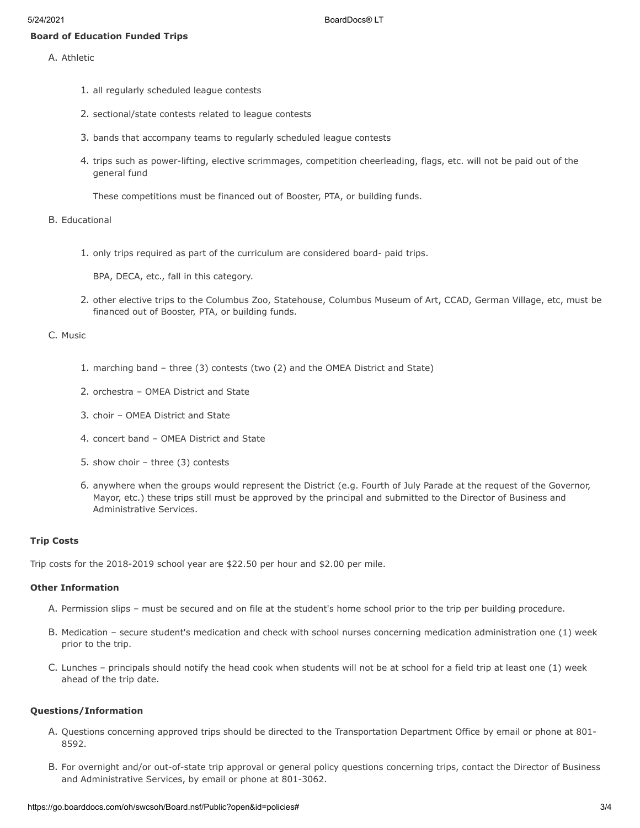- A. Athletic
	- 1. all regularly scheduled league contests
	- 2. sectional/state contests related to league contests
	- 3. bands that accompany teams to regularly scheduled league contests
	- 4. trips such as power-lifting, elective scrimmages, competition cheerleading, flags, etc. will not be paid out of the general fund

These competitions must be financed out of Booster, PTA, or building funds.

#### B. Educational

1. only trips required as part of the curriculum are considered board- paid trips.

BPA, DECA, etc., fall in this category.

2. other elective trips to the Columbus Zoo, Statehouse, Columbus Museum of Art, CCAD, German Village, etc, must be financed out of Booster, PTA, or building funds.

## C. Music

- 1. marching band three (3) contests (two (2) and the OMEA District and State)
- 2. orchestra OMEA District and State
- 3. choir OMEA District and State
- 4. concert band OMEA District and State
- 5. show choir three (3) contests
- 6. anywhere when the groups would represent the District (e.g. Fourth of July Parade at the request of the Governor, Mayor, etc.) these trips still must be approved by the principal and submitted to the Director of Business and Administrative Services.

## **Trip Costs**

Trip costs for the 2018-2019 school year are \$22.50 per hour and \$2.00 per mile.

#### **Other Information**

- A. Permission slips must be secured and on file at the student's home school prior to the trip per building procedure.
- B. Medication secure student's medication and check with school nurses concerning medication administration one (1) week prior to the trip.
- C. Lunches principals should notify the head cook when students will not be at school for a field trip at least one (1) week ahead of the trip date.

### **Questions/Information**

- A. Questions concerning approved trips should be directed to the Transportation Department Office by email or phone at 801- 8592.
- B. For overnight and/or out-of-state trip approval or general policy questions concerning trips, contact the Director of Business and Administrative Services, by email or phone at 801-3062.